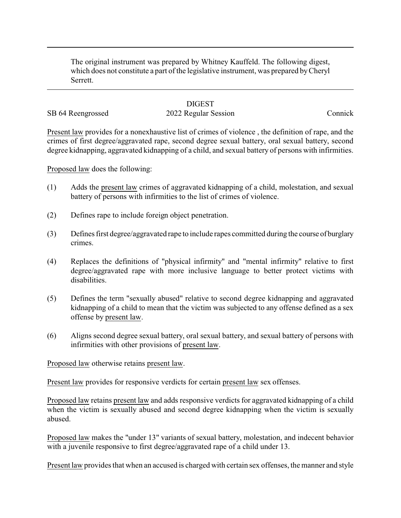The original instrument was prepared by Whitney Kauffeld. The following digest, which does not constitute a part of the legislative instrument, was prepared byCheryl Serrett.

## **DIGEST**

## SB 64 Reengrossed 2022 Regular Session Connick

Present law provides for a nonexhaustive list of crimes of violence , the definition of rape, and the crimes of first degree/aggravated rape, second degree sexual battery, oral sexual battery, second degree kidnapping, aggravated kidnapping of a child, and sexual battery of persons with infirmities.

Proposed law does the following:

- (1) Adds the present law crimes of aggravated kidnapping of a child, molestation, and sexual battery of persons with infirmities to the list of crimes of violence.
- (2) Defines rape to include foreign object penetration.
- (3) Defines first degree/aggravated rape to include rapes committed during the course of burglary crimes.
- (4) Replaces the definitions of "physical infirmity" and "mental infirmity" relative to first degree/aggravated rape with more inclusive language to better protect victims with disabilities.
- (5) Defines the term "sexually abused" relative to second degree kidnapping and aggravated kidnapping of a child to mean that the victim was subjected to any offense defined as a sex offense by present law.
- (6) Aligns second degree sexual battery, oral sexual battery, and sexual battery of persons with infirmities with other provisions of present law.

Proposed law otherwise retains present law.

Present law provides for responsive verdicts for certain present law sex offenses.

Proposed law retains present law and adds responsive verdicts for aggravated kidnapping of a child when the victim is sexually abused and second degree kidnapping when the victim is sexually abused.

Proposed law makes the "under 13" variants of sexual battery, molestation, and indecent behavior with a juvenile responsive to first degree/aggravated rape of a child under 13.

Present law provides that when an accused is charged with certain sex offenses, the manner and style